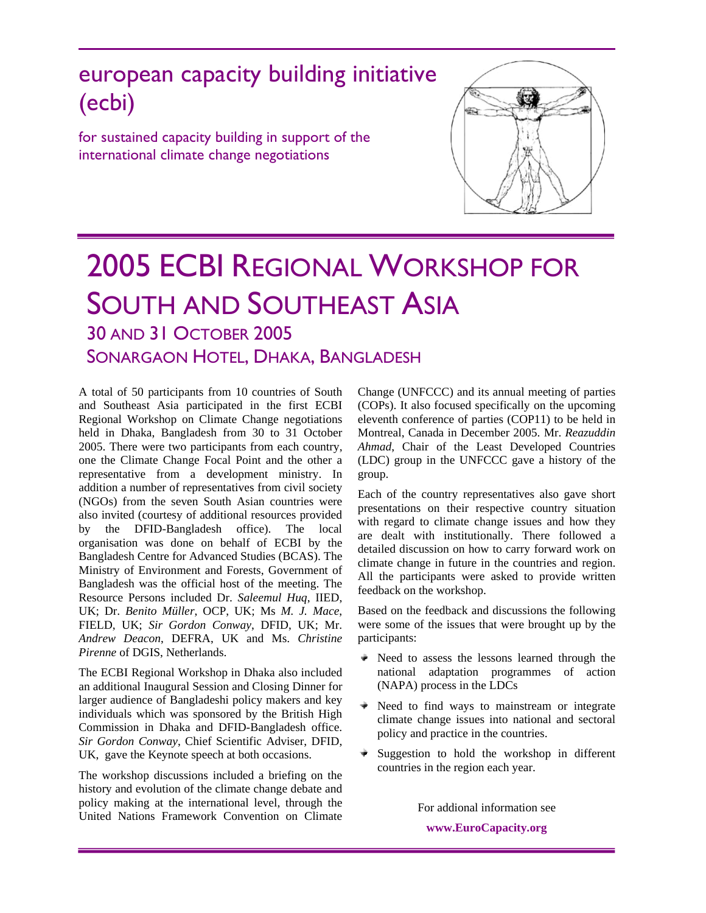# european capacity building initiative (ecbi)

for sustained capacity building in support of the international climate change negotiations



# 2005 ECBI REGIONAL WORKSHOP FOR SOUTH AND SOUTHEAST ASIA 30 AND 31 OCTOBER 2005

SONARGAON HOTEL, DHAKA, BANGLADESH

A total of 50 participants from 10 countries of South and Southeast Asia participated in the first ECBI Regional Workshop on Climate Change negotiations held in Dhaka, Bangladesh from 30 to 31 October 2005. There were two participants from each country, one the Climate Change Focal Point and the other a representative from a development ministry. In addition a number of representatives from civil society (NGOs) from the seven South Asian countries were also invited (courtesy of additional resources provided by the DFID-Bangladesh office). The local organisation was done on behalf of ECBI by the Bangladesh Centre for Advanced Studies (BCAS). The Ministry of Environment and Forests, Government of Bangladesh was the official host of the meeting. The Resource Persons included Dr. *Saleemul Huq*, IIED, UK; Dr. *Benito Müller*, OCP, UK; Ms *M. J. Mace*, FIELD, UK; *Sir Gordon Conway*, DFID, UK; Mr. *Andrew Deacon*, DEFRA, UK and Ms. *Christine Pirenne* of DGIS, Netherlands.

The ECBI Regional Workshop in Dhaka also included an additional Inaugural Session and Closing Dinner for larger audience of Bangladeshi policy makers and key individuals which was sponsored by the British High Commission in Dhaka and DFID-Bangladesh office. *Sir Gordon Conway*, Chief Scientific Adviser, DFID, UK, gave the Keynote speech at both occasions.

The workshop discussions included a briefing on the history and evolution of the climate change debate and policy making at the international level, through the United Nations Framework Convention on Climate

Change (UNFCCC) and its annual meeting of parties (COPs). It also focused specifically on the upcoming eleventh conference of parties (COP11) to be held in Montreal, Canada in December 2005. Mr. *Reazuddin Ahmad*, Chair of the Least Developed Countries (LDC) group in the UNFCCC gave a history of the group.

Each of the country representatives also gave short presentations on their respective country situation with regard to climate change issues and how they are dealt with institutionally. There followed a detailed discussion on how to carry forward work on climate change in future in the countries and region. All the participants were asked to provide written feedback on the workshop.

Based on the feedback and discussions the following were some of the issues that were brought up by the participants:

- $\triangleq$  Need to assess the lessons learned through the national adaptation programmes of action (NAPA) process in the LDCs
- Need to find ways to mainstream or integrate climate change issues into national and sectoral policy and practice in the countries.
- $\bullet$  Suggestion to hold the workshop in different countries in the region each year.

For addional information see **www.EuroCapacity.org**